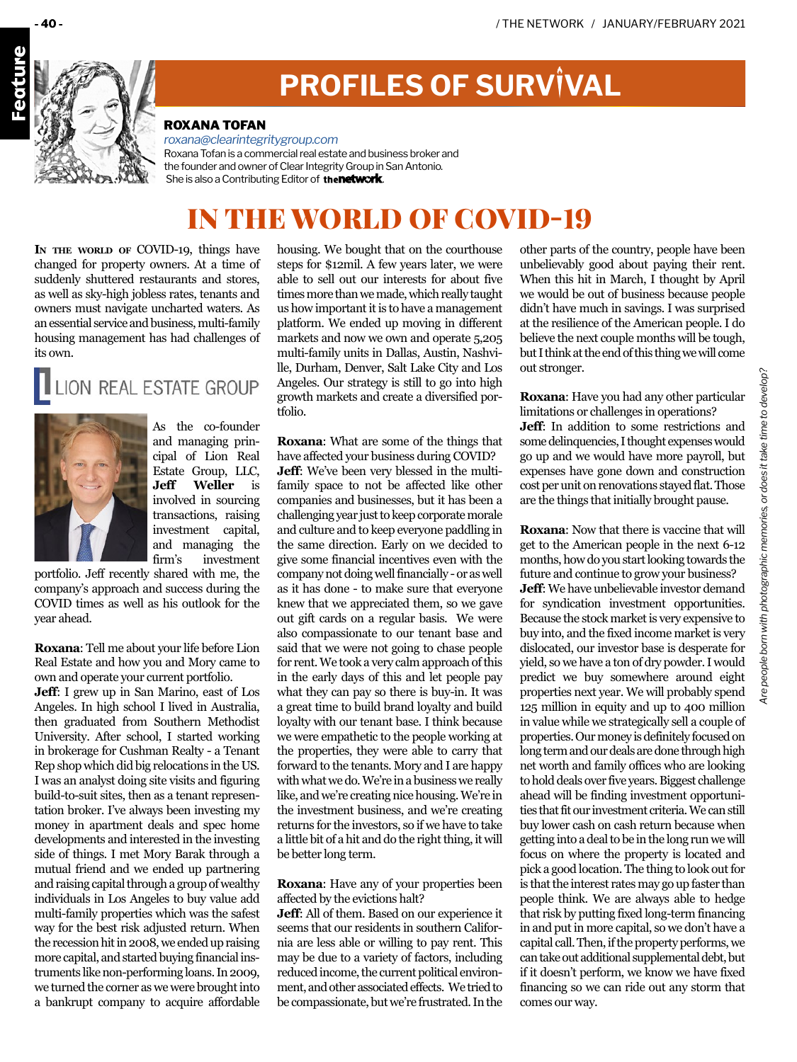

# **PROFILES OF SURVIVAL**

#### ROXANA TOFAN

*[roxana@clearintegritygroup.com](mailto:roxana@clearintegritygroup.com
)* Roxana Tofan is a commercial real estate and business broker and the founder and owner of Clear Integrity Group in San Antonio. She is also a Contributing Editor of **thenetwork**.

## IN THE WORLD OF COVID-19

In **THE** WORLD OF COVID-19, things have changed for property owners. At a time of suddenly shuttered restaurants and stores, as well as sky-high jobless rates, tenants and owners must navigate uncharted waters. As an essential service and business, multi-family housing management has had challenges of its own.

## LION REAL ESTATE GROUP



As the co-founder and managing principal of Lion Real Estate Group, LLC, **Jeff Weller** is involved in sourcing transactions, raising investment capital, and managing the firm's investment

portfolio. Jeff recently shared with me, the company's approach and success during the COVID times as well as his outlook for the year ahead.

**Roxana**: Tell me about your life before Lion Real Estate and how you and Mory came to own and operate your current portfolio.

**Jeff**: I grew up in San Marino, east of Los Angeles. In high school I lived in Australia, then graduated from Southern Methodist University. After school, I started working in brokerage for Cushman Realty - a Tenant Rep shop which did big relocations in the US. I was an analyst doing site visits and figuring build-to-suit sites, then as a tenant representation broker. I've always been investing my money in apartment deals and spec home developments and interested in the investing side of things. I met Mory Barak through a mutual friend and we ended up partnering and raising capital through a group of wealthy individuals in Los Angeles to buy value add multi-family properties which was the safest way for the best risk adjusted return. When the recession hit in 2008, we ended up raising more capital, and started buying financial instruments like non-performing loans. In 2009, we turned the corner as we were brought into a bankrupt company to acquire affordable

housing. We bought that on the courthouse steps for \$12mil. A few years later, we were able to sell out our interests for about five times more than we made, which really taught us how important it is to have a management platform. We ended up moving in different markets and now we own and operate 5,205 multi-family units in Dallas, Austin, Nashville, Durham, Denver, Salt Lake City and Los Angeles. Our strategy is still to go into high growth markets and create a diversified portfolio.

**Roxana**: What are some of the things that have affected your business during COVID? **Jeff**: We've been very blessed in the multifamily space to not be affected like other companies and businesses, but it has been a challenging year just to keep corporate morale and culture and to keep everyone paddling in the same direction. Early on we decided to give some financial incentives even with the company not doing well financially - or as well as it has done - to make sure that everyone knew that we appreciated them, so we gave out gift cards on a regular basis. We were also compassionate to our tenant base and said that we were not going to chase people for rent. We took a very calm approach of this in the early days of this and let people pay what they can pay so there is buy-in. It was a great time to build brand loyalty and build loyalty with our tenant base. I think because we were empathetic to the people working at the properties, they were able to carry that forward to the tenants. Mory and I are happy with what we do. We're in a business we really like, and we're creating nice housing. We're in the investment business, and we're creating returns for the investors, so if we have to take a little bit of a hit and do the right thing, it will be better long term.

#### **Roxana**: Have any of your properties been affected by the evictions halt?

**Jeff**: All of them. Based on our experience it seems that our residents in southern California are less able or willing to pay rent. This may be due to a variety of factors, including reduced income, the current political environment, and other associated effects. We tried to be compassionate, but we're frustrated. In the

other parts of the country, people have been unbelievably good about paying their rent. When this hit in March, I thought by April we would be out of business because people didn't have much in savings. I was surprised at the resilience of the American people. I do believe the next couple months will be tough, but I think at the end of this thing we will come out stronger.

**Roxana**: Have you had any other particular limitations or challenges in operations?

**Jeff**: In addition to some restrictions and some delinquencies, I thought expenses would go up and we would have more payroll, but expenses have gone down and construction cost per unit on renovations stayed flat. Those are the things that initially brought pause.

**Roxana**: Now that there is vaccine that will get to the American people in the next 6-12 months, how do you start looking towards the future and continue to grow your business? **Jeff**: We have unbelievable investor demand for syndication investment opportunities. Because the stock market is very expensive to buy into, and the fixed income market is very dislocated, our investor base is desperate for yield, so we have a ton of dry powder. I would predict we buy somewhere around eight properties next year. We will probably spend 125 million in equity and up to 400 million in value while we strategically sell a couple of properties. Our money is definitely focused on long term and our deals are done through high net worth and family offices who are looking to hold deals over five years. Biggest challenge ahead will be finding investment opportunities that fit our investment criteria. We can still buy lower cash on cash return because when getting into a deal to be in the long run we will focus on where the property is located and pick a good location. The thing to look out for is that the interest rates may go up faster than people think. We are always able to hedge that risk by putting fixed long-term financing in and put in more capital, so we don't have a capital call. Then, if the property performs, we can take out additional supplemental debt, but if it doesn't perform, we know we have fixed financing so we can ride out any storm that comes our way.